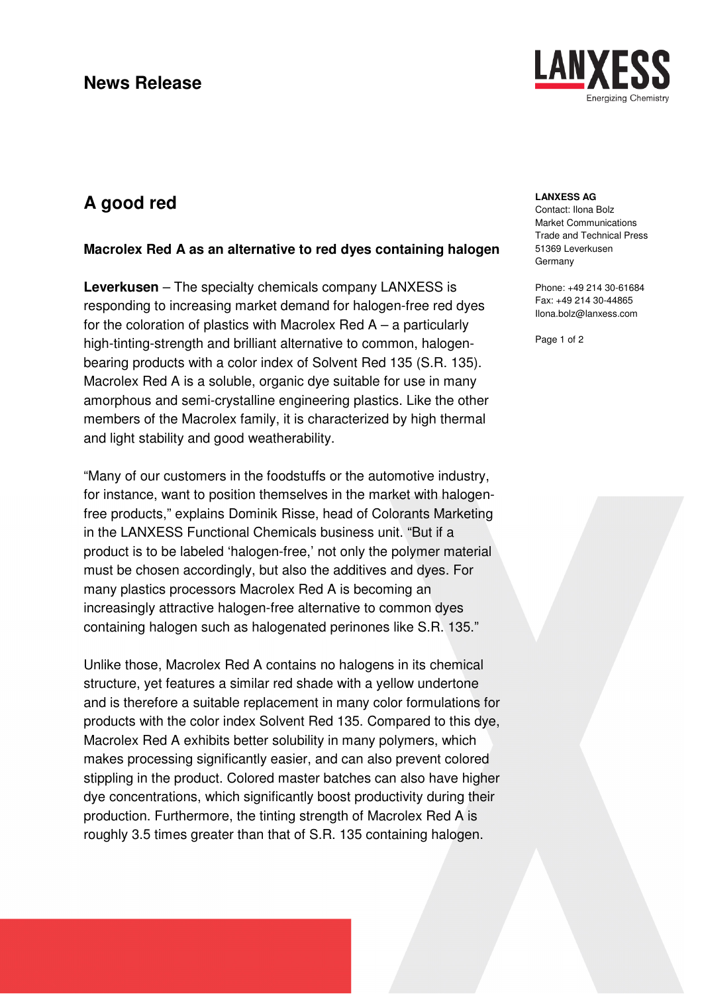

# **A good red**

### **Macrolex Red A as an alternative to red dyes containing halogen**

**Leverkusen** – The specialty chemicals company LANXESS is responding to increasing market demand for halogen-free red dyes for the coloration of plastics with Macrolex Red  $A - a$  particularly high-tinting-strength and brilliant alternative to common, halogenbearing products with a color index of Solvent Red 135 (S.R. 135). Macrolex Red A is a soluble, organic dye suitable for use in many amorphous and semi-crystalline engineering plastics. Like the other members of the Macrolex family, it is characterized by high thermal and light stability and good weatherability.

"Many of our customers in the foodstuffs or the automotive industry, for instance, want to position themselves in the market with halogenfree products," explains Dominik Risse, head of Colorants Marketing in the LANXESS Functional Chemicals business unit. "But if a product is to be labeled 'halogen-free,' not only the polymer material must be chosen accordingly, but also the additives and dyes. For many plastics processors Macrolex Red A is becoming an increasingly attractive halogen-free alternative to common dyes containing halogen such as halogenated perinones like S.R. 135."

Unlike those, Macrolex Red A contains no halogens in its chemical structure, yet features a similar red shade with a yellow undertone and is therefore a suitable replacement in many color formulations for products with the color index Solvent Red 135. Compared to this dye, Macrolex Red A exhibits better solubility in many polymers, which makes processing significantly easier, and can also prevent colored stippling in the product. Colored master batches can also have higher dye concentrations, which significantly boost productivity during their production. Furthermore, the tinting strength of Macrolex Red A is roughly 3.5 times greater than that of S.R. 135 containing halogen.

### **LANXESS AG**

Contact: Ilona Bolz Market Communications Trade and Technical Press 51369 Leverkusen Germany

Phone: +49 214 30-61684 Fax: +49 214 30-44865 Ilona.bolz@lanxess.com

Page 1 of 2